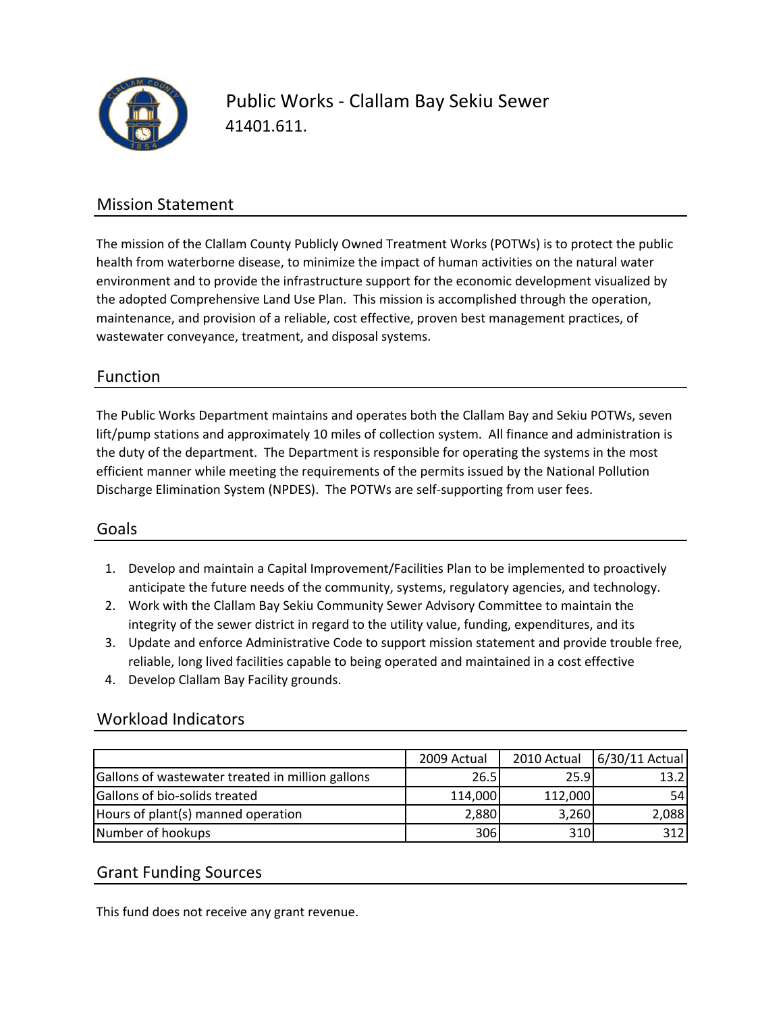

Public Works ‐ Clallam Bay Sekiu Sewer 41401.611.

### Mission Statement

The mission of the Clallam County Publicly Owned Treatment Works (POTWs) is to protect the public health from waterborne disease, to minimize the impact of human activities on the natural water environment and to provide the infrastructure support for the economic development visualized by the adopted Comprehensive Land Use Plan. This mission is accomplished through the operation, maintenance, and provision of a reliable, cost effective, proven best management practices, of wastewater conveyance, treatment, and disposal systems.

### Function

The Public Works Department maintains and operates both the Clallam Bay and Sekiu POTWs, seven lift/pump stations and approximately 10 miles of collection system. All finance and administration is the duty of the department. The Department is responsible for operating the systems in the most efficient manner while meeting the requirements of the permits issued by the National Pollution Discharge Elimination System (NPDES). The POTWs are self‐supporting from user fees.

#### Goals

- 1. Develop and maintain a Capital Improvement/Facilities Plan to be implemented to proactively anticipate the future needs of the community, systems, regulatory agencies, and technology.
- 2. Work with the Clallam Bay Sekiu Community Sewer Advisory Committee to maintain the integrity of the sewer district in regard to the utility value, funding, expenditures, and its
- 3. Update and enforce Administrative Code to support mission statement and provide trouble free, reliable, long lived facilities capable to being operated and maintained in a cost effective
- 4. Develop Clallam Bay Facility grounds.

#### Workload Indicators

|                                                  | 2009 Actual | 2010 Actual | 6/30/11 Actual |
|--------------------------------------------------|-------------|-------------|----------------|
| Gallons of wastewater treated in million gallons | 26.5        | 25.9        | 13.2           |
| Gallons of bio-solids treated                    | 114,000     | 112,000     | 54             |
| Hours of plant(s) manned operation               | 2,880       | 3,260       | 2,088          |
| Number of hookups                                | 306         | 310         | 312            |

#### Grant Funding Sources

This fund does not receive any grant revenue.